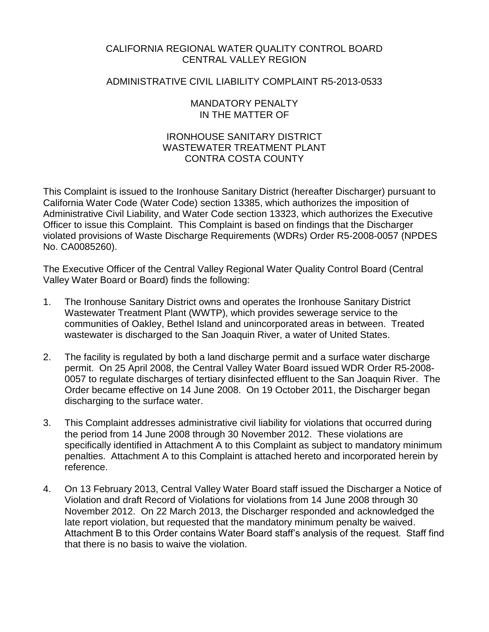# CALIFORNIA REGIONAL WATER QUALITY CONTROL BOARD CENTRAL VALLEY REGION

### ADMINISTRATIVE CIVIL LIABILITY COMPLAINT R5-2013-0533

### MANDATORY PENALTY IN THE MATTER OF

## IRONHOUSE SANITARY DISTRICT WASTEWATER TREATMENT PLANT CONTRA COSTA COUNTY

This Complaint is issued to the Ironhouse Sanitary District (hereafter Discharger) pursuant to California Water Code (Water Code) section 13385, which authorizes the imposition of Administrative Civil Liability, and Water Code section 13323, which authorizes the Executive Officer to issue this Complaint. This Complaint is based on findings that the Discharger violated provisions of Waste Discharge Requirements (WDRs) Order R5-2008-0057 (NPDES No. CA0085260).

The Executive Officer of the Central Valley Regional Water Quality Control Board (Central Valley Water Board or Board) finds the following:

- 1. The Ironhouse Sanitary District owns and operates the Ironhouse Sanitary District Wastewater Treatment Plant (WWTP), which provides sewerage service to the communities of Oakley, Bethel Island and unincorporated areas in between. Treated wastewater is discharged to the San Joaquin River, a water of United States.
- 2. The facility is regulated by both a land discharge permit and a surface water discharge permit. On 25 April 2008, the Central Valley Water Board issued WDR Order R5-2008- 0057 to regulate discharges of tertiary disinfected effluent to the San Joaquin River. The Order became effective on 14 June 2008. On 19 October 2011, the Discharger began discharging to the surface water.
- 3. This Complaint addresses administrative civil liability for violations that occurred during the period from 14 June 2008 through 30 November 2012. These violations are specifically identified in Attachment A to this Complaint as subject to mandatory minimum penalties. Attachment A to this Complaint is attached hereto and incorporated herein by reference.
- 4. On 13 February 2013, Central Valley Water Board staff issued the Discharger a Notice of Violation and draft Record of Violations for violations from 14 June 2008 through 30 November 2012. On 22 March 2013, the Discharger responded and acknowledged the late report violation, but requested that the mandatory minimum penalty be waived. Attachment B to this Order contains Water Board staff's analysis of the request. Staff find that there is no basis to waive the violation.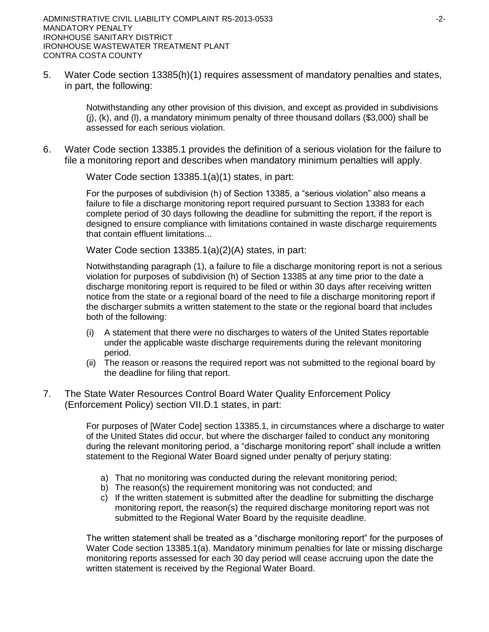5. Water Code section 13385(h)(1) requires assessment of mandatory penalties and states, in part, the following:

> Notwithstanding any other provision of this division, and except as provided in subdivisions  $(i)$ ,  $(k)$ , and  $(l)$ , a mandatory minimum penalty of three thousand dollars (\$3,000) shall be assessed for each serious violation.

6. Water Code section 13385.1 provides the definition of a serious violation for the failure to file a monitoring report and describes when mandatory minimum penalties will apply.

Water Code section 13385.1(a)(1) states, in part:

For the purposes of subdivision (h) of Section 13385, a "serious violation" also means a failure to file a discharge monitoring report required pursuant to Section 13383 for each complete period of 30 days following the deadline for submitting the report, if the report is designed to ensure compliance with limitations contained in waste discharge requirements that contain effluent limitations...

Water Code section 13385.1(a)(2)(A) states, in part:

Notwithstanding paragraph (1), a failure to file a discharge monitoring report is not a serious violation for purposes of subdivision (h) of Section 13385 at any time prior to the date a discharge monitoring report is required to be filed or within 30 days after receiving written notice from the state or a regional board of the need to file a discharge monitoring report if the discharger submits a written statement to the state or the regional board that includes both of the following:

- (i) A statement that there were no discharges to waters of the United States reportable under the applicable waste discharge requirements during the relevant monitoring period.
- (ii) The reason or reasons the required report was not submitted to the regional board by the deadline for filing that report.
- 7. The State Water Resources Control Board Water Quality Enforcement Policy (Enforcement Policy) section VII.D.1 states, in part:

For purposes of [Water Code] section 13385.1, in circumstances where a discharge to water of the United States did occur, but where the discharger failed to conduct any monitoring during the relevant monitoring period, a "discharge monitoring report" shall include a written statement to the Regional Water Board signed under penalty of perjury stating:

- a) That no monitoring was conducted during the relevant monitoring period;
- b) The reason(s) the requirement monitoring was not conducted; and
- c) If the written statement is submitted after the deadline for submitting the discharge monitoring report, the reason(s) the required discharge monitoring report was not submitted to the Regional Water Board by the requisite deadline.

The written statement shall be treated as a "discharge monitoring report" for the purposes of Water Code section 13385.1(a). Mandatory minimum penalties for late or missing discharge monitoring reports assessed for each 30 day period will cease accruing upon the date the written statement is received by the Regional Water Board.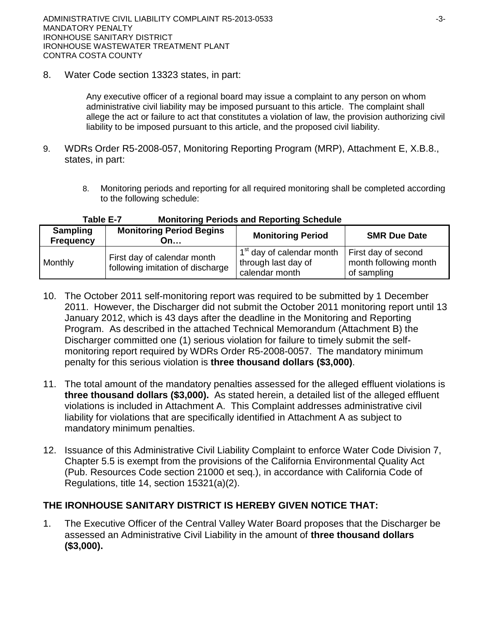8. Water Code section 13323 states, in part:

Any executive officer of a regional board may issue a complaint to any person on whom administrative civil liability may be imposed pursuant to this article. The complaint shall allege the act or failure to act that constitutes a violation of law, the provision authorizing civil liability to be imposed pursuant to this article, and the proposed civil liability.

- 9. WDRs Order R5-2008-057, Monitoring Reporting Program (MRP), Attachment E, X.B.8., states, in part:
	- 8. Monitoring periods and reporting for all required monitoring shall be completed according to the following schedule:

| <b>Sampling</b><br><b>Frequency</b> | <b>Monitoring Period Begins</b><br>On…                          | <b>Monitoring Period</b>                                                       | <b>SMR Due Date</b>                                         |
|-------------------------------------|-----------------------------------------------------------------|--------------------------------------------------------------------------------|-------------------------------------------------------------|
| Monthly                             | First day of calendar month<br>following imitation of discharge | 1 <sup>st</sup> day of calendar month<br>through last day of<br>calendar month | First day of second<br>month following month<br>of sampling |

### **Table E-7 Monitoring Periods and Reporting Schedule**

- 10. The October 2011 self-monitoring report was required to be submitted by 1 December 2011. However, the Discharger did not submit the October 2011 monitoring report until 13 January 2012, which is 43 days after the deadline in the Monitoring and Reporting Program. As described in the attached Technical Memorandum (Attachment B) the Discharger committed one (1) serious violation for failure to timely submit the selfmonitoring report required by WDRs Order R5-2008-0057. The mandatory minimum penalty for this serious violation is **three thousand dollars (\$3,000)**.
- 11. The total amount of the mandatory penalties assessed for the alleged effluent violations is **three thousand dollars (\$3,000).** As stated herein, a detailed list of the alleged effluent violations is included in Attachment A. This Complaint addresses administrative civil liability for violations that are specifically identified in Attachment A as subject to mandatory minimum penalties.
- 12. Issuance of this Administrative Civil Liability Complaint to enforce Water Code Division 7, Chapter 5.5 is exempt from the provisions of the California Environmental Quality Act (Pub. Resources Code section 21000 et seq.), in accordance with California Code of Regulations, title 14, section 15321(a)(2).

# **THE IRONHOUSE SANITARY DISTRICT IS HEREBY GIVEN NOTICE THAT:**

1. The Executive Officer of the Central Valley Water Board proposes that the Discharger be assessed an Administrative Civil Liability in the amount of **three thousand dollars (\$3,000).**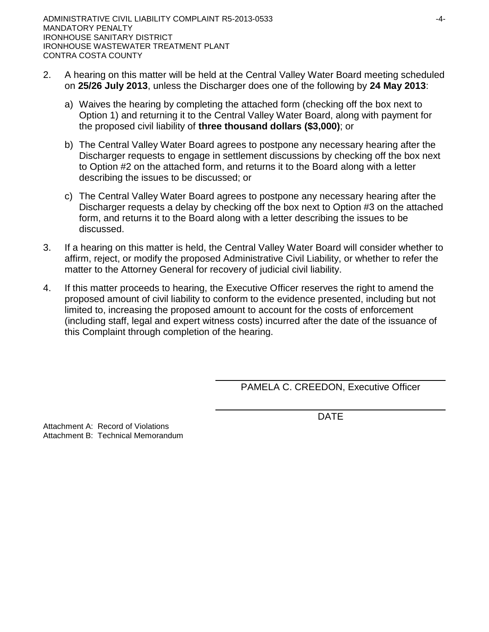- 2. A hearing on this matter will be held at the Central Valley Water Board meeting scheduled on **25/26 July 2013**, unless the Discharger does one of the following by **24 May 2013**:
	- a) Waives the hearing by completing the attached form (checking off the box next to Option 1) and returning it to the Central Valley Water Board, along with payment for the proposed civil liability of **three thousand dollars (\$3,000)**; or
	- b) The Central Valley Water Board agrees to postpone any necessary hearing after the Discharger requests to engage in settlement discussions by checking off the box next to Option #2 on the attached form, and returns it to the Board along with a letter describing the issues to be discussed; or
	- c) The Central Valley Water Board agrees to postpone any necessary hearing after the Discharger requests a delay by checking off the box next to Option #3 on the attached form, and returns it to the Board along with a letter describing the issues to be discussed.
- 3. If a hearing on this matter is held, the Central Valley Water Board will consider whether to affirm, reject, or modify the proposed Administrative Civil Liability, or whether to refer the matter to the Attorney General for recovery of judicial civil liability.
- 4. If this matter proceeds to hearing, the Executive Officer reserves the right to amend the proposed amount of civil liability to conform to the evidence presented, including but not limited to, increasing the proposed amount to account for the costs of enforcement (including staff, legal and expert witness costs) incurred after the date of the issuance of this Complaint through completion of the hearing.

PAMELA C. CREEDON, Executive Officer

DATE

Attachment A: Record of Violations Attachment B: Technical Memorandum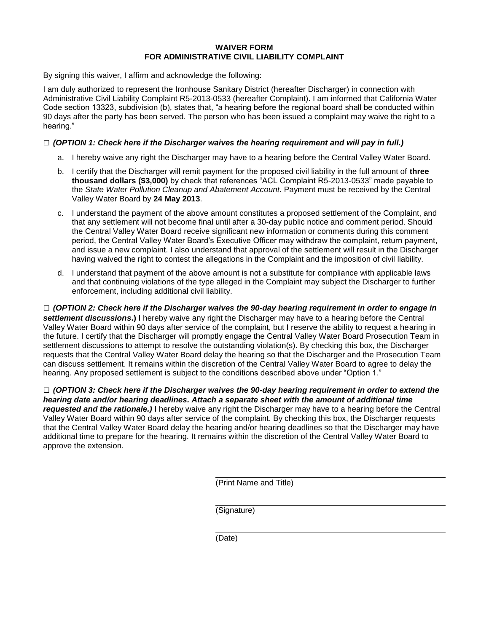### **WAIVER FORM FOR ADMINISTRATIVE CIVIL LIABILITY COMPLAINT**

By signing this waiver, I affirm and acknowledge the following:

I am duly authorized to represent the Ironhouse Sanitary District (hereafter Discharger) in connection with Administrative Civil Liability Complaint R5-2013-0533 (hereafter Complaint). I am informed that California Water Code section 13323, subdivision (b), states that, "a hearing before the regional board shall be conducted within 90 days after the party has been served. The person who has been issued a complaint may waive the right to a hearing."

### **□** *(OPTION 1: Check here if the Discharger waives the hearing requirement and will pay in full.)*

- a. I hereby waive any right the Discharger may have to a hearing before the Central Valley Water Board.
- b. I certify that the Discharger will remit payment for the proposed civil liability in the full amount of **three thousand dollars (\$3,000)** by check that references "ACL Complaint R5-2013-0533" made payable to the *State Water Pollution Cleanup and Abatement Account*. Payment must be received by the Central Valley Water Board by **24 May 2013**.
- c. I understand the payment of the above amount constitutes a proposed settlement of the Complaint, and that any settlement will not become final until after a 30-day public notice and comment period. Should the Central Valley Water Board receive significant new information or comments during this comment period, the Central Valley Water Board's Executive Officer may withdraw the complaint, return payment, and issue a new complaint. I also understand that approval of the settlement will result in the Discharger having waived the right to contest the allegations in the Complaint and the imposition of civil liability.
- d. I understand that payment of the above amount is not a substitute for compliance with applicable laws and that continuing violations of the type alleged in the Complaint may subject the Discharger to further enforcement, including additional civil liability.

**□** *(OPTION 2: Check here if the Discharger waives the 90-day hearing requirement in order to engage in settlement discussions***.)** I hereby waive any right the Discharger may have to a hearing before the Central Valley Water Board within 90 days after service of the complaint, but I reserve the ability to request a hearing in the future. I certify that the Discharger will promptly engage the Central Valley Water Board Prosecution Team in settlement discussions to attempt to resolve the outstanding violation(s). By checking this box, the Discharger requests that the Central Valley Water Board delay the hearing so that the Discharger and the Prosecution Team can discuss settlement. It remains within the discretion of the Central Valley Water Board to agree to delay the hearing. Any proposed settlement is subject to the conditions described above under "Option 1."

**□** *(OPTION 3: Check here if the Discharger waives the 90-day hearing requirement in order to extend the hearing date and/or hearing deadlines. Attach a separate sheet with the amount of additional time requested and the rationale.)* I hereby waive any right the Discharger may have to a hearing before the Central Valley Water Board within 90 days after service of the complaint. By checking this box, the Discharger requests that the Central Valley Water Board delay the hearing and/or hearing deadlines so that the Discharger may have additional time to prepare for the hearing. It remains within the discretion of the Central Valley Water Board to approve the extension.

(Print Name and Title)

(Signature)

(Date)